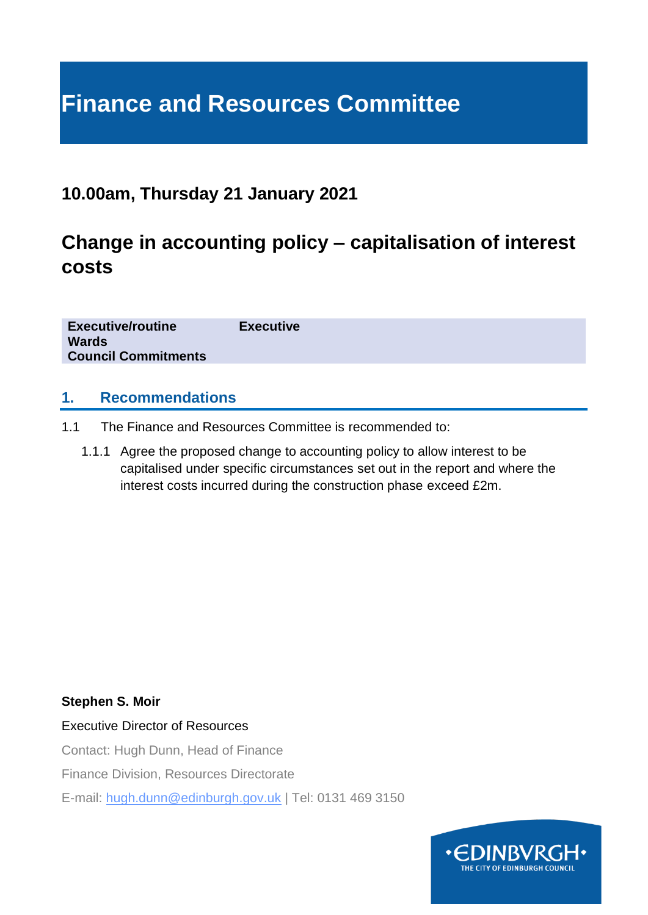# **Finance and Resources Committee**

## **10.00am, Thursday 21 January 2021**

## **Change in accounting policy – capitalisation of interest costs**

**Executive/routine Executive Wards Council Commitments**

### **1. Recommendations**

- 1.1 The Finance and Resources Committee is recommended to:
	- 1.1.1 Agree the proposed change to accounting policy to allow interest to be capitalised under specific circumstances set out in the report and where the interest costs incurred during the construction phase exceed £2m.

**Stephen S. Moir**

Executive Director of Resources

Contact: Hugh Dunn, Head of Finance

Finance Division, Resources Directorate

E-mail: hugh.dunn@edinburgh.gov.uk | Tel: 0131 469 3150

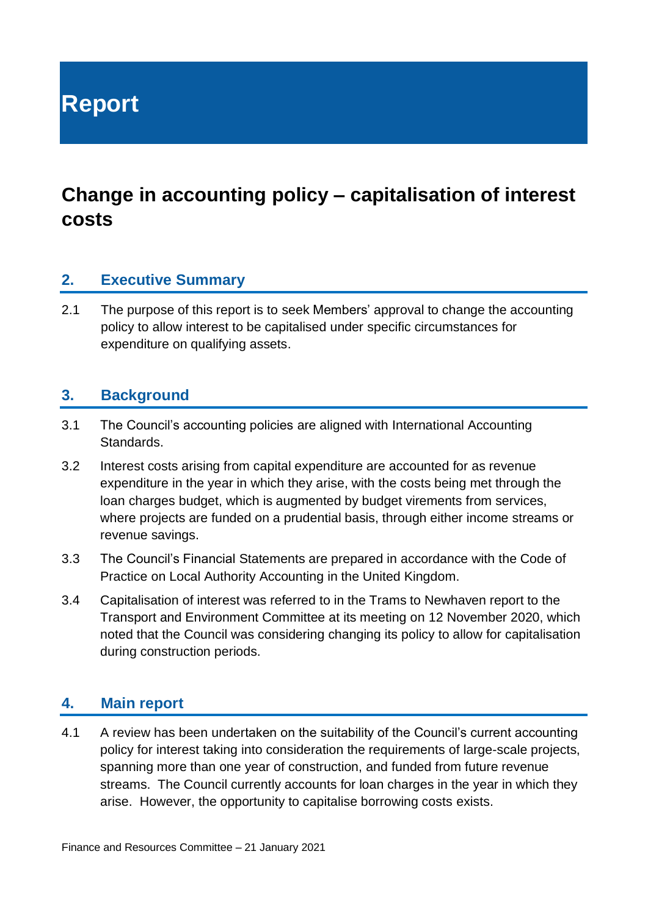**Report**

## **Change in accounting policy – capitalisation of interest costs**

## **2. Executive Summary**

2.1 The purpose of this report is to seek Members' approval to change the accounting policy to allow interest to be capitalised under specific circumstances for expenditure on qualifying assets.

## **3. Background**

- 3.1 The Council's accounting policies are aligned with International Accounting Standards.
- 3.2 Interest costs arising from capital expenditure are accounted for as revenue expenditure in the year in which they arise, with the costs being met through the loan charges budget, which is augmented by budget virements from services, where projects are funded on a prudential basis, through either income streams or revenue savings.
- 3.3 The Council's Financial Statements are prepared in accordance with the Code of Practice on Local Authority Accounting in the United Kingdom.
- 3.4 Capitalisation of interest was referred to in the Trams to Newhaven report to the Transport and Environment Committee at its meeting on 12 November 2020, which noted that the Council was considering changing its policy to allow for capitalisation during construction periods.

### **4. Main report**

4.1 A review has been undertaken on the suitability of the Council's current accounting policy for interest taking into consideration the requirements of large-scale projects, spanning more than one year of construction, and funded from future revenue streams. The Council currently accounts for loan charges in the year in which they arise. However, the opportunity to capitalise borrowing costs exists.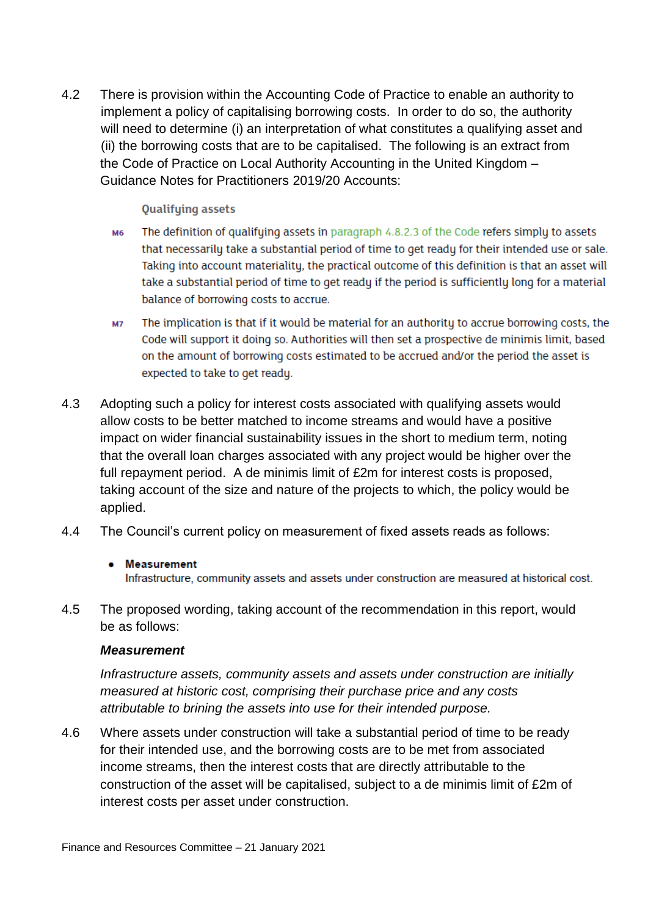4.2 There is provision within the Accounting Code of Practice to enable an authority to implement a policy of capitalising borrowing costs. In order to do so, the authority will need to determine (i) an interpretation of what constitutes a qualifying asset and (ii) the borrowing costs that are to be capitalised. The following is an extract from the Code of Practice on Local Authority Accounting in the United Kingdom – Guidance Notes for Practitioners 2019/20 Accounts:

#### **Qualifying assets**

- The definition of qualifying assets in paragraph 4.8.2.3 of the Code refers simply to assets **M6** that necessarily take a substantial period of time to get ready for their intended use or sale. Taking into account materiality, the practical outcome of this definition is that an asset will take a substantial period of time to get ready if the period is sufficiently long for a material balance of borrowing costs to accrue.
- The implication is that if it would be material for an authority to accrue borrowing costs, the **M7** Code will support it doing so. Authorities will then set a prospective de minimis limit, based on the amount of borrowing costs estimated to be accrued and/or the period the asset is expected to take to get ready.
- 4.3 Adopting such a policy for interest costs associated with qualifying assets would allow costs to be better matched to income streams and would have a positive impact on wider financial sustainability issues in the short to medium term, noting that the overall loan charges associated with any project would be higher over the full repayment period. A de minimis limit of £2m for interest costs is proposed, taking account of the size and nature of the projects to which, the policy would be applied.
- 4.4 The Council's current policy on measurement of fixed assets reads as follows:

#### • Measurement

Infrastructure, community assets and assets under construction are measured at historical cost.

4.5 The proposed wording, taking account of the recommendation in this report, would be as follows:

#### *Measurement*

*Infrastructure assets, community assets and assets under construction are initially measured at historic cost, comprising their purchase price and any costs attributable to brining the assets into use for their intended purpose.*

4.6 Where assets under construction will take a substantial period of time to be ready for their intended use, and the borrowing costs are to be met from associated income streams, then the interest costs that are directly attributable to the construction of the asset will be capitalised, subject to a de minimis limit of £2m of interest costs per asset under construction.